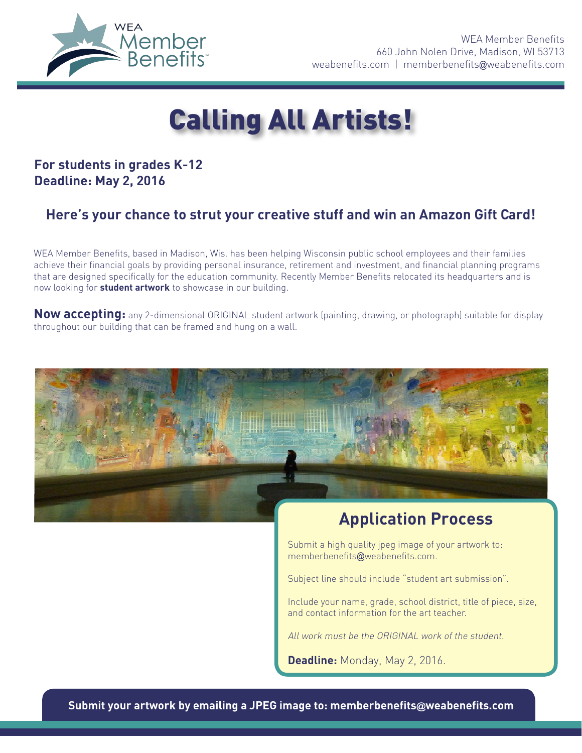

# Calling All Artists!

### **For students in grades K-12 Deadline: May 2, 2016**

## **Here's your chance to strut your creative stuff and win an Amazon Gift Card!**

WEA Member Benefits, based in Madison, Wis. has been helping Wisconsin public school employees and their families achieve their financial goals by providing personal insurance, retirement and investment, and financial planning programs that are designed specifically for the education community. Recently Member Benefits relocated its headquarters and is now looking for **student artwork** to showcase in our building.

**Now accepting:** any 2-dimensional ORIGINAL student artwork (painting, drawing, or photograph) suitable for display throughout our building that can be framed and hung on a wall.



## **Application Process**

Submit a high quality jpeg image of your artwork to: memberbenefits@weabenefits.com.

Subject line should include "student art submission".

Include your name, grade, school district, title of piece, size, and contact information for the art teacher.

All work must be the ORIGINAL work of the student.

**Deadline:** Monday, May 2, 2016.

**Submit your artwork by emailing a JPEG image to: memberbenefits@weabenefits.com**